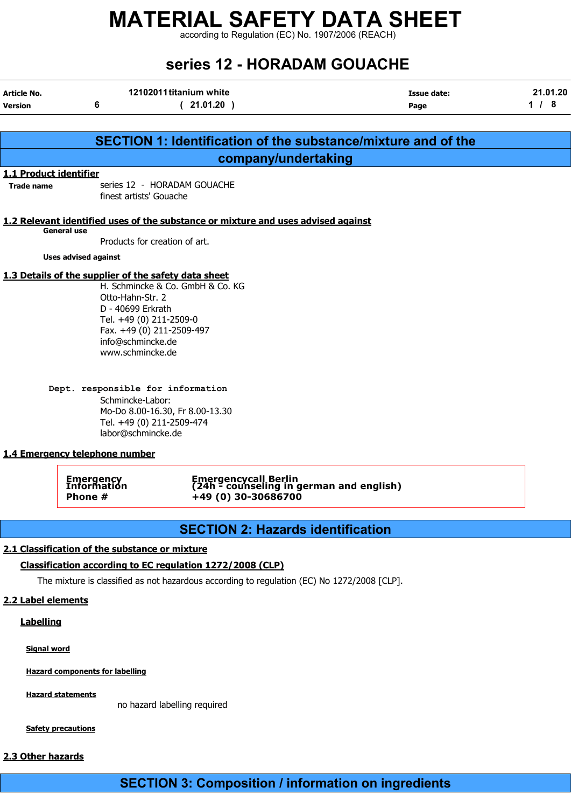according to Regulation (EC) No. 1907/2006 (REACH)

| series 12 - HORADAM GOUACHE |                                                                                                    |                                                                                                                                                           |                     |                 |  |  |  |  |
|-----------------------------|----------------------------------------------------------------------------------------------------|-----------------------------------------------------------------------------------------------------------------------------------------------------------|---------------------|-----------------|--|--|--|--|
| Article No.<br>Version      | 6                                                                                                  | 12102011 titanium white<br>(21.01.20)                                                                                                                     | Issue date:<br>Page | 21.01.20<br>1/8 |  |  |  |  |
|                             |                                                                                                    |                                                                                                                                                           |                     |                 |  |  |  |  |
|                             |                                                                                                    | SECTION 1: Identification of the substance/mixture and of the                                                                                             |                     |                 |  |  |  |  |
|                             |                                                                                                    | company/undertaking                                                                                                                                       |                     |                 |  |  |  |  |
| 1.1 Product identifier      |                                                                                                    |                                                                                                                                                           |                     |                 |  |  |  |  |
| <b>Trade name</b>           | series 12 - HORADAM GOUACHE<br>finest artists' Gouache                                             |                                                                                                                                                           |                     |                 |  |  |  |  |
|                             |                                                                                                    | 1.2 Relevant identified uses of the substance or mixture and uses advised against                                                                         |                     |                 |  |  |  |  |
|                             | <b>General use</b>                                                                                 | Products for creation of art.                                                                                                                             |                     |                 |  |  |  |  |
|                             | <b>Uses advised against</b>                                                                        |                                                                                                                                                           |                     |                 |  |  |  |  |
|                             |                                                                                                    | 1.3 Details of the supplier of the safety data sheet                                                                                                      |                     |                 |  |  |  |  |
|                             | Otto-Hahn-Str. 2<br>D - 40699 Erkrath<br>info@schmincke.de<br>www.schmincke.de<br>Schmincke-Labor: | Tel. +49 (0) 211-2509-0<br>Fax. +49 (0) 211-2509-497<br>Dept. responsible for information<br>Mo-Do 8.00-16.30, Fr 8.00-13.30<br>Tel. +49 (0) 211-2509-474 |                     |                 |  |  |  |  |
|                             |                                                                                                    | labor@schmincke.de                                                                                                                                        |                     |                 |  |  |  |  |
|                             | 1.4 Emergency telephone number                                                                     |                                                                                                                                                           |                     |                 |  |  |  |  |
|                             | <b>Emergency</b><br>TIII OLIII ALIOII<br>Phone #                                                   | <b>Emergencycall Berlin</b><br>(24h <sup>-</sup> counseling in german and english)<br>+49 (0) 30-30686700                                                 |                     |                 |  |  |  |  |
|                             |                                                                                                    |                                                                                                                                                           |                     |                 |  |  |  |  |
|                             |                                                                                                    | <b>SECTION 2: Hazards identification</b>                                                                                                                  |                     |                 |  |  |  |  |
|                             | 2.1 Classification of the substance or mixture                                                     |                                                                                                                                                           |                     |                 |  |  |  |  |
|                             |                                                                                                    | Classification according to EC regulation 1272/2008 (CLP)                                                                                                 |                     |                 |  |  |  |  |
|                             |                                                                                                    | The mixture is classified as not hazardous according to regulation (EC) No 1272/2008 [CLP].                                                               |                     |                 |  |  |  |  |

2.2 Label elements

**Labelling** 

Signal word

Hazard components for labelling

**Hazard statements** 

no hazard labelling required

**Safety precautions** 

#### 2.3 Other hazards

SECTION 3: Composition / information on ingredients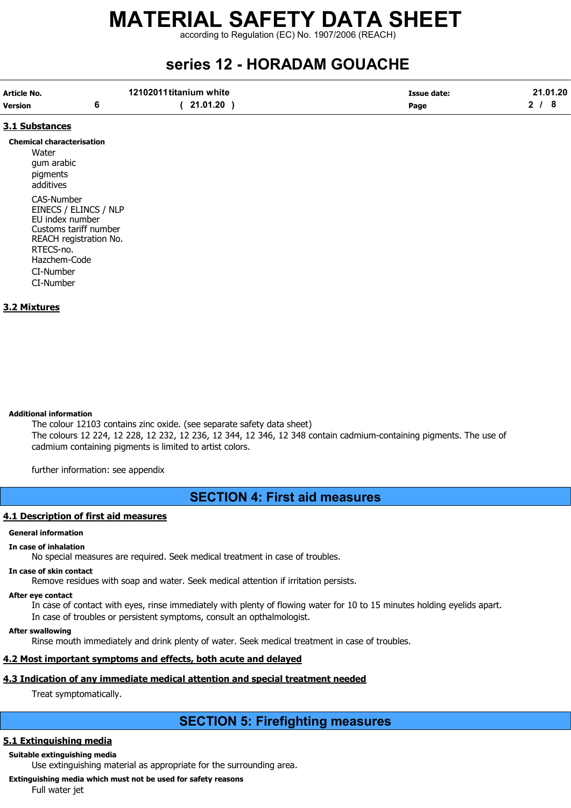according to Regulation (EC) No. 1907/2006 (REACH)

## series 12 - HORADAM GOUACHE

| Article No.    | 12102011 titanium white | Issue date: | 21.01.20 |
|----------------|-------------------------|-------------|----------|
| <b>Version</b> | 21.01.20                | Page        |          |

#### 3.1 Substances

#### Chemical characterisation

**Water** gum arabic pigments additives CAS-Number EINECS / ELINCS / NLP EU index number Customs tariff number REACH registration No. RTECS-no. Hazchem-Code CI-Number CI-Number

#### 3.2 Mixtures

Additional information

The colour 12103 contains zinc oxide. (see separate safety data sheet) The colours 12 224, 12 228, 12 232, 12 236, 12 344, 12 346, 12 348 contain cadmium-containing pigments. The use of cadmium containing pigments is limited to artist colors.

further information: see appendix

### SECTION 4: First aid measures

#### 4.1 Description of first aid measures

#### General information

#### In case of inhalation

No special measures are required. Seek medical treatment in case of troubles.

#### In case of skin contact

Remove residues with soap and water. Seek medical attention if irritation persists.

#### After eye contact

In case of contact with eyes, rinse immediately with plenty of flowing water for 10 to 15 minutes holding eyelids apart. In case of troubles or persistent symptoms, consult an opthalmologist.

#### After swallowing

Rinse mouth immediately and drink plenty of water. Seek medical treatment in case of troubles.

#### 4.2 Most important symptoms and effects, both acute and delayed

#### 4.3 Indication of any immediate medical attention and special treatment needed

Treat symptomatically.

## SECTION 5: Firefighting measures

#### 5.1 Extinguishing media

Suitable extinguishing media

Use extinguishing material as appropriate for the surrounding area.

Extinguishing media which must not be used for safety reasons

Full water jet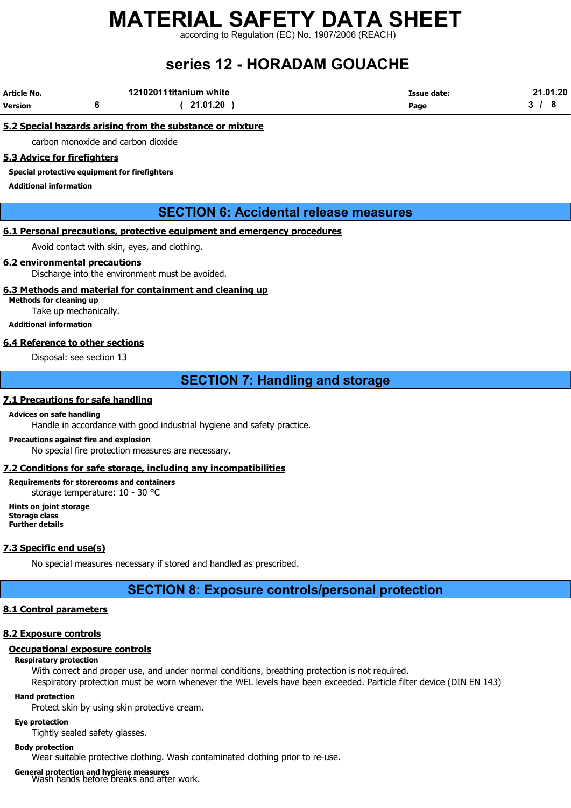according to Regulation (EC) No. 1907/2006 (REACH)

## series 12 - HORADAM GOUACHE

| Article No. | 12102011 titanium white | <b>Issue date:</b> | 21.01.20 |
|-------------|-------------------------|--------------------|----------|
| Version     | 21.01.20                | Page               |          |

#### 5.2 Special hazards arising from the substance or mixture

carbon monoxide and carbon dioxide

#### 5.3 Advice for firefighters

Special protective equipment for firefighters

Additional information

#### SECTION 6: Accidental release measures

#### 6.1 Personal precautions, protective equipment and emergency procedures

Avoid contact with skin, eyes, and clothing.

#### 6.2 environmental precautions

Discharge into the environment must be avoided.

#### 6.3 Methods and material for containment and cleaning up

Methods for cleaning up Take up mechanically.

### Additional information

#### 6.4 Reference to other sections

Disposal: see section 13

### SECTION 7: Handling and storage

#### 7.1 Precautions for safe handling

#### Advices on safe handling

Handle in accordance with good industrial hygiene and safety practice.

#### Precautions against fire and explosion No special fire protection measures are necessary.

#### 7.2 Conditions for safe storage, including any incompatibilities

Requirements for storerooms and containers storage temperature: 10 - 30 °C

Hints on joint storage Storage class Further details

#### 7.3 Specific end use(s)

No special measures necessary if stored and handled as prescribed.

#### SECTION 8: Exposure controls/personal protection

#### 8.1 Control parameters

#### 8.2 Exposure controls

#### Occupational exposure controls

#### Respiratory protection

With correct and proper use, and under normal conditions, breathing protection is not required.

## Respiratory protection must be worn whenever the WEL levels have been exceeded. Particle filter device (DIN EN 143)

#### Hand protection

Protect skin by using skin protective cream.

#### Eye protection

Tightly sealed safety glasses.

#### Body protection

Wear suitable protective clothing. Wash contaminated clothing prior to re-use.

General protection and hygiene measures Wash hands before breaks and after work.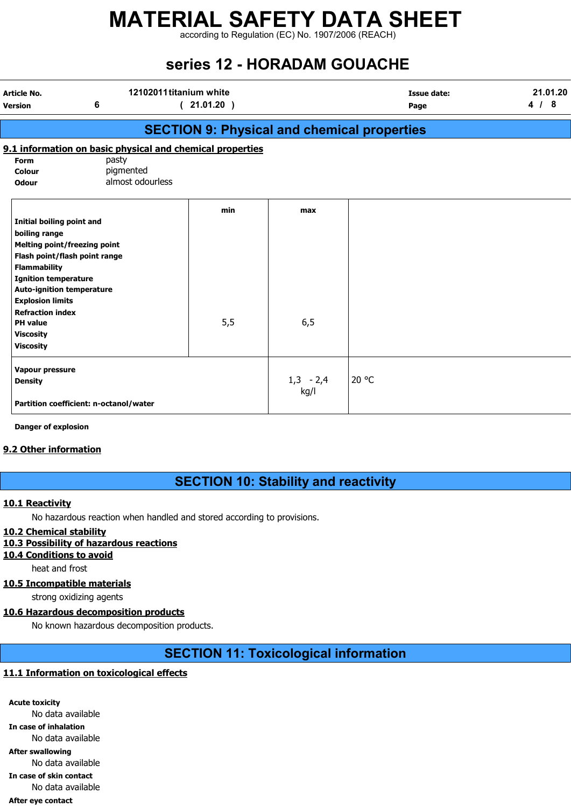according to Regulation (EC) No. 1907/2006 (REACH)

## series 12 - HORADAM GOUACHE

| <b>Article No.</b><br><b>Version</b> | 6                                                         | 12102011 titanium white<br>(21.01.20)              |                     | <b>Issue date:</b><br>Page | 21.01.20<br>4/8 |
|--------------------------------------|-----------------------------------------------------------|----------------------------------------------------|---------------------|----------------------------|-----------------|
|                                      |                                                           | <b>SECTION 9: Physical and chemical properties</b> |                     |                            |                 |
|                                      | 9.1 information on basic physical and chemical properties |                                                    |                     |                            |                 |
| <b>Form</b>                          | pasty                                                     |                                                    |                     |                            |                 |
| Colour                               | pigmented                                                 |                                                    |                     |                            |                 |
| <b>Odour</b>                         | almost odourless                                          |                                                    |                     |                            |                 |
|                                      |                                                           | min                                                | max                 |                            |                 |
| Initial boiling point and            |                                                           |                                                    |                     |                            |                 |
| boiling range                        |                                                           |                                                    |                     |                            |                 |
| <b>Melting point/freezing point</b>  |                                                           |                                                    |                     |                            |                 |
|                                      | Flash point/flash point range                             |                                                    |                     |                            |                 |
| <b>Flammability</b>                  |                                                           |                                                    |                     |                            |                 |
| <b>Ignition temperature</b>          |                                                           |                                                    |                     |                            |                 |
| <b>Auto-ignition temperature</b>     |                                                           |                                                    |                     |                            |                 |
| <b>Explosion limits</b>              |                                                           |                                                    |                     |                            |                 |
| <b>Refraction index</b>              |                                                           |                                                    |                     |                            |                 |
| <b>PH</b> value                      |                                                           | 5,5                                                | 6,5                 |                            |                 |
| <b>Viscosity</b>                     |                                                           |                                                    |                     |                            |                 |
| <b>Viscosity</b>                     |                                                           |                                                    |                     |                            |                 |
| Vapour pressure                      |                                                           |                                                    |                     |                            |                 |
| <b>Density</b>                       |                                                           |                                                    | $1,3 - 2,4$<br>kg/l | 20 °C                      |                 |
|                                      | Partition coefficient: n-octanol/water                    |                                                    |                     |                            |                 |

Danger of explosion

#### 9.2 Other information

## SECTION 10: Stability and reactivity

#### 10.1 Reactivity

No hazardous reaction when handled and stored according to provisions.

#### 10.2 Chemical stability

### 10.3 Possibility of hazardous reactions

10.4 Conditions to avoid

heat and frost

### 10.5 Incompatible materials

strong oxidizing agents

## 10.6 Hazardous decomposition products

No known hazardous decomposition products.

## SECTION 11: Toxicological information

## 11.1 Information on toxicological effects

Acute toxicity No data available In case of inhalation No data available After swallowing No data available In case of skin contact No data available After eye contact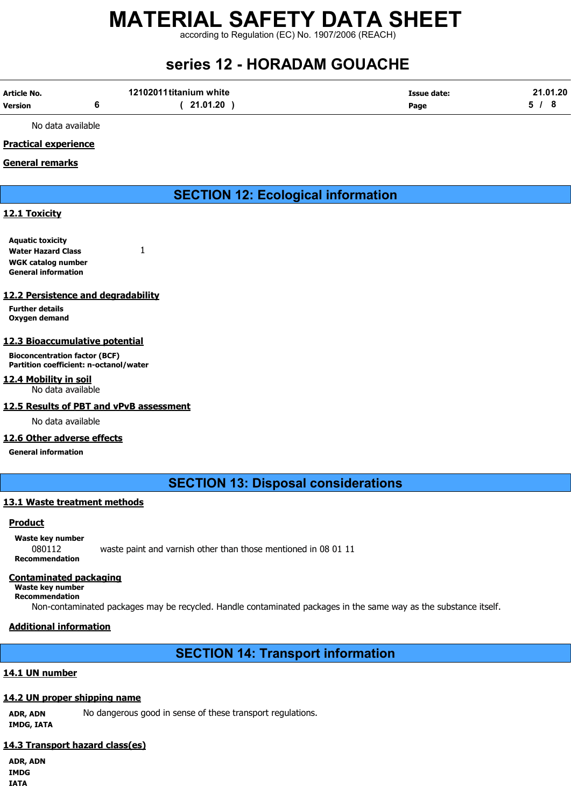according to Regulation (EC) No. 1907/2006 (REACH)

## series 12 - HORADAM GOUACHE

| Article No. | 12102011 titanium white | Issue date: | 21.01.20 |
|-------------|-------------------------|-------------|----------|
| Version     | ( 21.01.20              | Page        |          |

No data available

#### Practical experience

#### General remarks

SECTION 12: Ecological information

#### 12.1 Toxicity

Aquatic toxicity Water Hazard Class 1 WGK catalog number General information

#### 12.2 Persistence and degradability

Further details Oxygen demand

#### 12.3 Bioaccumulative potential

Bioconcentration factor (BCF) Partition coefficient: n-octanol/water

#### 12.4 Mobility in soil

No data available

#### 12.5 Results of PBT and vPvB assessment

No data available

#### 12.6 Other adverse effects

General information

SECTION 13: Disposal considerations

#### 13.1 Waste treatment methods

#### Product

Waste key number 080112 waste paint and varnish other than those mentioned in 08 01 11 Recommendation

#### Contaminated packaging

Waste key number Recommendation

Non-contaminated packages may be recycled. Handle contaminated packages in the same way as the substance itself.

#### Additional information

### SECTION 14: Transport information

#### 14.1 UN number

#### 14.2 UN proper shipping name

ADR, ADN No dangerous good in sense of these transport regulations. IMDG, IATA

#### 14.3 Transport hazard class(es)

ADR, ADN IMDG IATA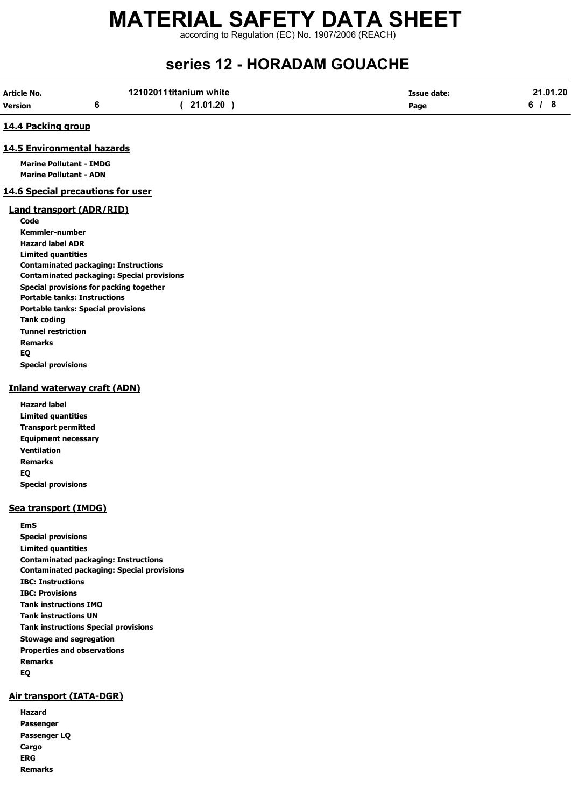according to Regulation (EC) No. 1907/2006 (REACH)

## series 12 - HORADAM GOUACHE

| Article No. | 12102011 titanium white | <b>Issue date:</b> | 21.01.20 |
|-------------|-------------------------|--------------------|----------|
| Version     | 21.01.20                | Page               |          |

#### 14.4 Packing group

#### 14.5 Environmental hazards

Marine Pollutant - IMDG Marine Pollutant - ADN

#### 14.6 Special precautions for user

#### Land transport (ADR/RID)

Code Kemmler-number Hazard label ADR Limited quantities Contaminated packaging: Instructions Contaminated packaging: Special provisions Special provisions for packing together Portable tanks: Instructions Portable tanks: Special provisions Tank coding Tunnel restriction Remarks EQ Special provisions

#### Inland waterway craft (ADN)

| Hazard label               |
|----------------------------|
| Limited guantities         |
| <b>Transport permitted</b> |
| <b>Equipment necessary</b> |
| Ventilation                |
| Remarks                    |
| EQ                         |
| <b>Special provisions</b>  |

#### Sea transport (IMDG)

EmS Special provisions Limited quantities Contaminated packaging: Instructions Contaminated packaging: Special provisions IBC: Instructions IBC: Provisions Tank instructions IMO Tank instructions UN Tank instructions Special provisions Stowage and segregation Properties and observations Remarks EQ

#### Air transport (IATA-DGR)

| Hazard         |
|----------------|
| Passenger      |
| Passenger LQ   |
| Cargo          |
| <b>ERG</b>     |
| <b>Remarks</b> |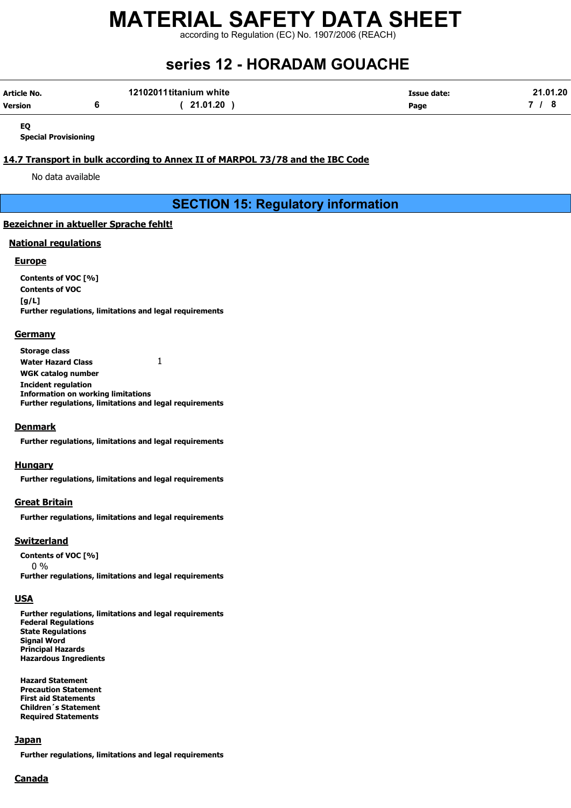according to Regulation (EC) No. 1907/2006 (REACH)

## series 12 - HORADAM GOUACHE

| Article No. | 12102011 titanium white | <b>Issue date:</b> | 21.01.20 |
|-------------|-------------------------|--------------------|----------|
| Version     | 21.01.20                | Page               |          |

EQ

Special Provisioning

#### 14.7 Transport in bulk according to Annex II of MARPOL 73/78 and the IBC Code

No data available

SECTION 15: Regulatory information

#### Bezeichner in aktueller Sprache fehlt!

#### National regulations

#### Europe

Contents of VOC [%] Contents of VOC  $[a/L]$ Further regulations, limitations and legal requirements

#### **Germany**

Storage class Water Hazard Class 1 WGK catalog number Incident regulation Information on working limitations Further regulations, limitations and legal requirements

#### **Denmark**

Further regulations, limitations and legal requirements

#### **Hungary**

Further regulations, limitations and legal requirements

#### Great Britain

Further regulations, limitations and legal requirements

#### **Switzerland**

Contents of VOC [%] 0 % Further regulations, limitations and legal requirements

#### **USA**

Further regulations, limitations and legal requirements Federal Regulations State Regulations Signal Word Principal Hazards Hazardous Ingredients

Hazard Statement Precaution Statement First aid Statements Children´s Statement Required Statements

#### **Japan**

Further regulations, limitations and legal requirements

#### **Canada**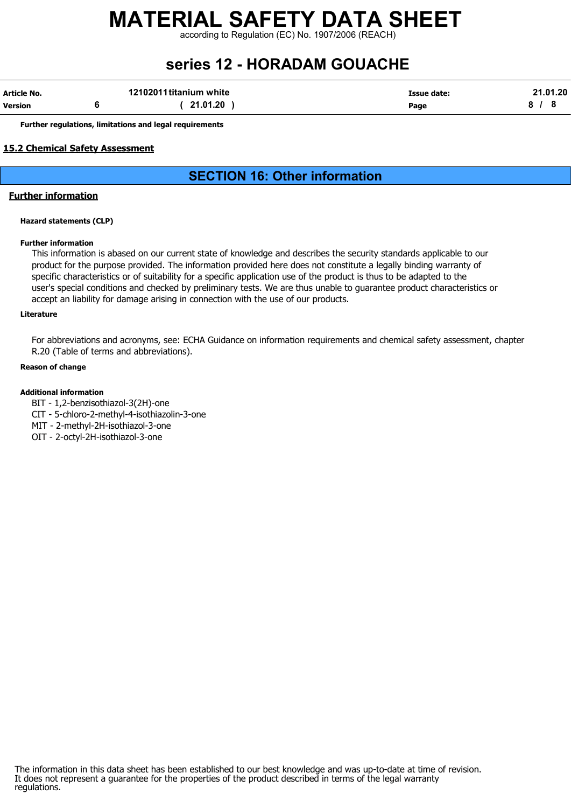according to Regulation (EC) No. 1907/2006 (REACH)

## series 12 - HORADAM GOUACHE

| Article No. | 12102011 titanium white | Issue date: | 21.01.20 |
|-------------|-------------------------|-------------|----------|
| Version     | 21.01.20                | Page        |          |

Further regulations, limitations and legal requirements

#### 15.2 Chemical Safety Assessment

### SECTION 16: Other information

#### Further information

#### Hazard statements (CLP)

#### Further information

This information is abased on our current state of knowledge and describes the security standards applicable to our product for the purpose provided. The information provided here does not constitute a legally binding warranty of specific characteristics or of suitability for a specific application use of the product is thus to be adapted to the user's special conditions and checked by preliminary tests. We are thus unable to guarantee product characteristics or accept an liability for damage arising in connection with the use of our products.

#### Literature

For abbreviations and acronyms, see: ECHA Guidance on information requirements and chemical safety assessment, chapter R.20 (Table of terms and abbreviations).

#### Reason of change

#### Additional information

- BIT 1,2-benzisothiazol-3(2H)-one
- CIT 5-chloro-2-methyl-4-isothiazolin-3-one
- MIT 2-methyl-2H-isothiazol-3-one
- OIT 2-octyl-2H-isothiazol-3-one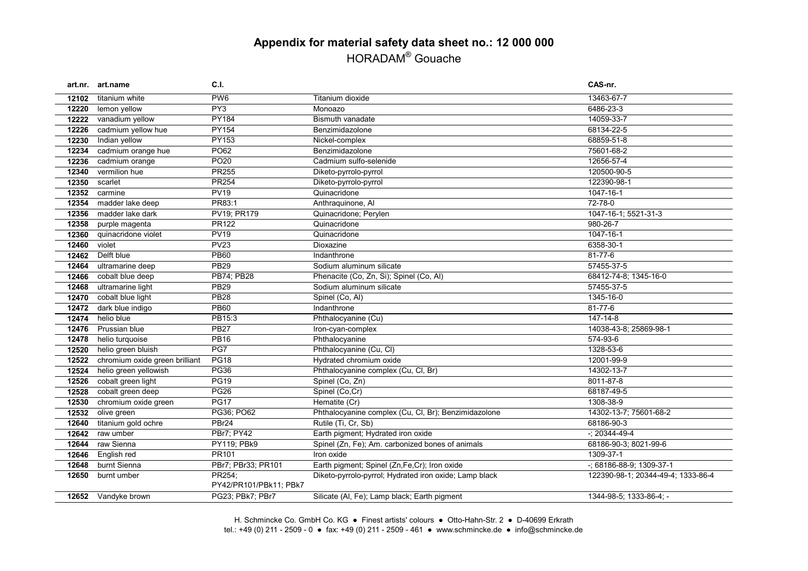## **Appendix for material safety data sheet no.: 12 000 000** HORADAM® Gouache

|       | art.nr. art.name               | C.I.                   |                                                        | CAS-nr.                            |
|-------|--------------------------------|------------------------|--------------------------------------------------------|------------------------------------|
| 12102 | titanium white                 | PW <sub>6</sub>        | Titanium dioxide                                       | 13463-67-7                         |
| 12220 | lemon yellow                   | PY3                    | Monoazo                                                | 6486-23-3                          |
| 12222 | vanadium yellow                | <b>PY184</b>           | <b>Bismuth vanadate</b>                                | 14059-33-7                         |
| 12226 | cadmium yellow hue             | PY154                  | Benzimidazolone                                        | 68134-22-5                         |
| 12230 | Indian yellow                  | <b>PY153</b>           | Nickel-complex                                         | 68859-51-8                         |
| 12234 | cadmium orange hue             | PO62                   | Benzimidazolone                                        | 75601-68-2                         |
| 12236 | cadmium orange                 | PO <sub>20</sub>       | Cadmium sulfo-selenide                                 | 12656-57-4                         |
| 12340 | vermilion hue                  | PR255                  | Diketo-pyrrolo-pyrrol                                  | 120500-90-5                        |
| 12350 | scarlet                        | <b>PR254</b>           | Diketo-pyrrolo-pyrrol                                  | 122390-98-1                        |
| 12352 | carmine                        | <b>PV19</b>            | Quinacridone                                           | 1047-16-1                          |
| 12354 | madder lake deep               | PR83:1                 | Anthraquinone, Al                                      | 72-78-0                            |
| 12356 | madder lake dark               | PV19; PR179            | Quinacridone; Perylen                                  | 1047-16-1; 5521-31-3               |
| 12358 | purple magenta                 | PR122                  | Quinacridone                                           | 980-26-7                           |
| 12360 | quinacridone violet            | <b>PV19</b>            | Quinacridone                                           | 1047-16-1                          |
| 12460 | violet                         | <b>PV23</b>            | Dioxazine                                              | 6358-30-1                          |
| 12462 | Delft blue                     | <b>PB60</b>            | Indanthrone                                            | 81-77-6                            |
| 12464 | ultramarine deep               | <b>PB29</b>            | Sodium aluminum silicate                               | 57455-37-5                         |
| 12466 | cobalt blue deep               | PB74; PB28             | Phenacite (Co, Zn, Si); Spinel (Co, Al)                | 68412-74-8; 1345-16-0              |
| 12468 | ultramarine light              | <b>PB29</b>            | Sodium aluminum silicate                               | 57455-37-5                         |
| 12470 | cobalt blue light              | <b>PB28</b>            | Spinel (Co, Al)                                        | 1345-16-0                          |
| 12472 | dark blue indigo               | <b>PB60</b>            | Indanthrone                                            | 81-77-6                            |
| 12474 | helio blue                     | PB15:3                 | Phthalocyanine (Cu)                                    | 147-14-8                           |
| 12476 | Prussian blue                  | <b>PB27</b>            | Iron-cyan-complex                                      | 14038-43-8; 25869-98-1             |
| 12478 | helio turquoise                | <b>PB16</b>            | Phthalocyanine                                         | 574-93-6                           |
| 12520 | helio green bluish             | PG7                    | Phthalocyanine (Cu, Cl)                                | 1328-53-6                          |
| 12522 | chromium oxide green brilliant | PG18                   | Hydrated chromium oxide                                | 12001-99-9                         |
| 12524 | helio green yellowish          | <b>PG36</b>            | Phthalocyanine complex (Cu, Cl, Br)                    | 14302-13-7                         |
| 12526 | cobalt green light             | <b>PG19</b>            | Spinel (Co, Zn)                                        | 8011-87-8                          |
| 12528 | cobalt green deep              | <b>PG26</b>            | Spinel (Co,Cr)                                         | 68187-49-5                         |
| 12530 | chromium oxide green           | <b>PG17</b>            | Hematite (Cr)                                          | 1308-38-9                          |
| 12532 | olive green                    | PG36; PO62             | Phthalocyanine complex (Cu, Cl, Br); Benzimidazolone   | 14302-13-7; 75601-68-2             |
| 12640 | titanium gold ochre            | PBr24                  | Rutile (Ti, Cr, Sb)                                    | 68186-90-3                         |
| 12642 | raw umber                      | PBr7; PY42             | Earth pigment; Hydrated iron oxide                     | $-$ ; 20344-49-4                   |
| 12644 | raw Sienna                     | PY119; PBk9            | Spinel (Zn, Fe); Am. carbonized bones of animals       | 68186-90-3; 8021-99-6              |
| 12646 | English red                    | PR101                  | Iron oxide                                             | 1309-37-1                          |
| 12648 | burnt Sienna                   | PBr7; PBr33; PR101     | Earth pigment; Spinel (Zn,Fe,Cr); Iron oxide           | -; 68186-88-9; 1309-37-1           |
| 12650 | burnt umber                    | PR254;                 | Diketo-pyrrolo-pyrrol; Hydrated iron oxide; Lamp black | 122390-98-1; 20344-49-4; 1333-86-4 |
|       |                                | PY42/PR101/PBk11; PBk7 |                                                        |                                    |
|       | 12652 Vandyke brown            | PG23; PBk7; PBr7       | Silicate (Al, Fe); Lamp black; Earth pigment           | 1344-98-5; 1333-86-4; -            |

H. Schmincke Co. GmbH Co. KG ● Finest artists' colours ● Otto-Hahn-Str. 2 ● D-40699 Erkrath tel.: +49 (0) 211 - 2509 - 0 ● fax: +49 (0) 211 - 2509 - 461 ● www.schmincke.de ● info@schmincke.de